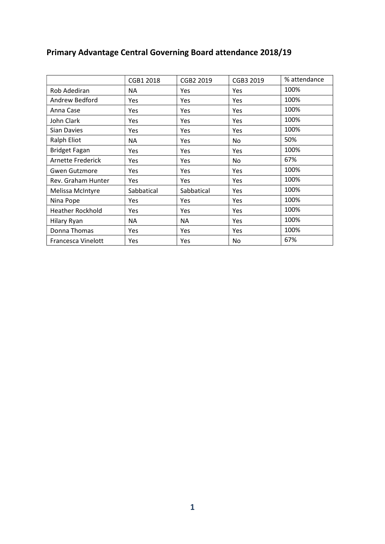|                         | CGB1 2018  | CGB2 2019  | CGB3 2019  | % attendance |
|-------------------------|------------|------------|------------|--------------|
| Rob Adediran            | ΝA         | Yes        | Yes        | 100%         |
| Andrew Bedford          | Yes        | <b>Yes</b> | Yes        | 100%         |
| Anna Case               | Yes        | <b>Yes</b> | Yes        | 100%         |
| John Clark              | Yes        | <b>Yes</b> | Yes        | 100%         |
| Sian Davies             | Yes        | <b>Yes</b> | <b>Yes</b> | 100%         |
| Ralph Eliot             | ΝA         | Yes        | No         | 50%          |
| <b>Bridget Fagan</b>    | Yes        | <b>Yes</b> | <b>Yes</b> | 100%         |
| Arnette Frederick       | Yes        | Yes        | No         | 67%          |
| <b>Gwen Gutzmore</b>    | Yes        | <b>Yes</b> | Yes        | 100%         |
| Rev. Graham Hunter      | Yes        | <b>Yes</b> | <b>Yes</b> | 100%         |
| Melissa McIntyre        | Sabbatical | Sabbatical | <b>Yes</b> | 100%         |
| Nina Pope               | Yes        | <b>Yes</b> | Yes        | 100%         |
| <b>Heather Rockhold</b> | Yes        | <b>Yes</b> | Yes        | 100%         |
| Hilary Ryan             | ΝA         | ΝA         | <b>Yes</b> | 100%         |
| Donna Thomas            | Yes        | <b>Yes</b> | Yes        | 100%         |
| Francesca Vinelott      | Yes        | Yes        | No         | 67%          |

## Primary Advantage Central Governing Board attendance 2018/19